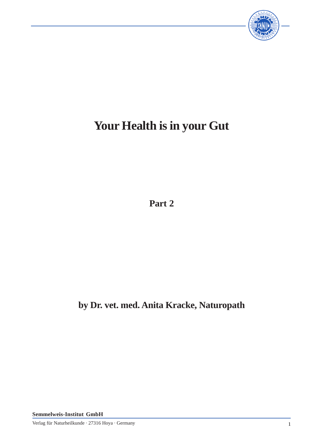

# **Your Health is in your Gut**

**Part 2**

**by Dr. vet. med. Anita Kracke, Naturopath**

**Semmelweis-Institut GmbH**

Verlag für Naturheilkunde · 27316 Hoya · Germany 1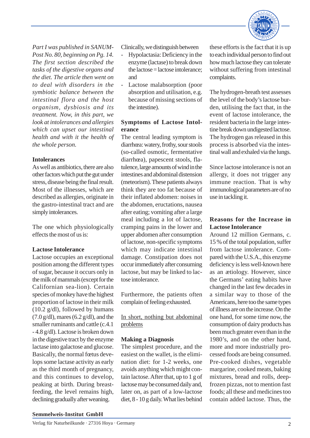

*Part I was published in SANUM-Post No. 80, beginning on Pg. 14. The first section described the tasks of the digestive organs and the diet. The article then went on to deal with disorders in the symbiotic balance between the intestinal flora and the host organism, dysbiosis and its treatment. Now, in this part, we look at intolerances and allergies which can upset our intestinal health and with it the health of the whole person.*

## **Intolerances**

As well as antibiotics, there are also other factors which put the gut under stress, disease being the final result. Most of the illnesses, which are described as allergies, originate in the gastro-intestinal tract and are simply intolerances.

The one which physiologically effects the most of us is:

#### **Lactose Intolerance**

Lactose occupies an exceptional position among the different types of sugar, because it occurs only in the milk of mammals (except for the Californian sea-lion). Certain species of monkey have the highest proportion of lactose in their milk (10.2 g/dl), followed by humans  $(7.0 \text{ g/dl})$ , mares  $(6.2 \text{ g/dl})$ , and the smaller ruminants and cattle (c.4.1 - 4.8 g/dl). Lactose is broken down in the digestive tract by the enzyme lactase into galactose and glucose. Basically, the normal fœtus develops some lactase activity as early as the third month of pregnancy, and this continues to develop, peaking at birth. During breastfeeding, the level remains high, declining gradually after weaning.

Clinically, we distinguish between

- Hypolactasia: Deficiency in the enzyme (lactase) to break down the lactose = lactose intolerance; and
- Lactose malabsorption (poor absorption and utilisation, e.g. because of missing sections of the intestine).

# **Symptoms of Lactose Intolerance**

The central leading symptom is diarrhœa: watery, frothy, sour stools (so-called osmotic, fermentative diarrhœa), papescent stools, flatulence, large amounts of wind in the intestines and abdominal distension (meteorism). These patients always think they are too fat because of their inflated abdomen: noises in the abdomen, eructations, nausea after eating; vomiting after a large meal including a lot of lactose, cramping pains in the lower and upper abdomen after consumption of lactose, non-specific symptoms which may indicate intestinal damage. Constipation does not occur immediately after consuming lactose, but may be linked to lactose intolerance.

Furthermore, the patients often complain of feeling exhausted.

In short, nothing but abdominal problems

# **Making a Diagnosis**

The simplest procedure, and the easiest on the wallet, is the elimination diet: for 1-2 weeks, one avoids anything which might contain lactose. After that, up to 1 g of lactose may be consumed daily and, later on, as part of a low-lactose diet, 8 - 10 g daily. What lies behind

these efforts is the fact that it is up to each individual person to find out how much lactose they can tolerate without suffering from intestinal complaints.

The hydrogen-breath test assesses the level of the body's lactose burden, utilising the fact that, in the event of lactose intolerance, the resident bacteria in the large intestine break down undigested lactose. The hydrogen gas released in this process is absorbed via the intestinal wall and exhaled via the lungs.

Since lactose intolerance is not an allergy, it does not trigger any immune reaction. That is why immunological parameters are of no use in tackling it.

## **Reasons for the Increase in Lactose Intolerance**

Around 12 million Germans, c. 15 % of the total population, suffer from lactose intolerance. Compared with the U.S.A., this enzyme deficiency is less well-known here as an ætiology. However, since the Germans' eating habits have changed in the last few decades in a similar way to those of the Americans, here too the same types of illness are on the increase. On the one hand, for some time now, the consumption of dairy products has been much greater even than in the 1980's, and on the other hand, more and more industrially processed foods are being consumed. Pre-cooked dishes, vegetable margarine, cooked meats, baking mixtures, bread and rolls, deepfrozen pizzas, not to mention fast foods; all these and medicines too contain added lactose. Thus, the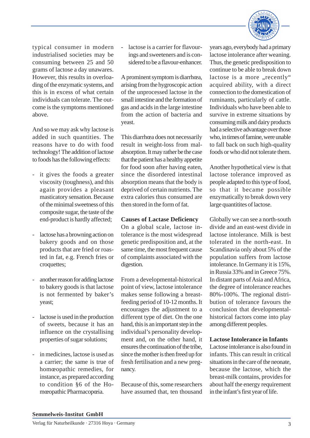

typical consumer in modern industrialised societies may be consuming between 25 and 50 grams of lactose a day unawares. However, this results in overloading of the enzymatic systems, and this is in excess of what certain individuals can tolerate. The outcome is the symptoms mentioned above.

And so we may ask why lactose is added in such quantities. The reasons have to do with food technology! The addition of lactose to foods has the following effects:

- it gives the foods a greater viscosity (toughness), and this again provides a pleasant masticatory sensation. Because of the minimal sweetness of this composite sugar, the taste of the end-product is hardly affected;
- lactose has a browning action on bakery goods and on those products that are fried or roasted in fat, e.g. French fries or croquettes;
- another reason for adding lactose to bakery goods is that lactose is not fermented by baker's yeast;
- lactose is used in the production of sweets, because it has an influence on the crystallising properties of sugar solutions;
- in medicines, lactose is used as a carrier; the same is true of homœopathic remedies, for instance, as prepared according to condition §6 of the Homœopathic Pharmacopœia.

lactose is a carrier for flavourings and sweeteners and is considered to be a flavour-enhancer.

A prominent symptom is diarrhœa, arising from the hygroscopic action of the unprocessed lactose in the small intestine and the formation of gas and acids in the large intestine from the action of bacteria and yeast.

This diarrhœa does not necessarily result in weight-loss from malabsorption. It may rather be the case that the patient has a healthy appetite for food soon after having eaten, since the disordered intestinal absorption means that the body is deprived of certain nutrients. The extra calories thus consumed are then stored in the form of fat.

# **Causes of Lactase Deficiency**

On a global scale, lactose intolerance is the most widespread genetic predisposition and, at the same time, the most frequent cause of complaints associated with the digestion.

From a developmental-historical point of view, lactose intolerance makes sense following a breastfeeding period of 10-12 months. It encourages the adjustment to a different type of diet. On the one hand, this is an important step in the individual's personality development and, on the other hand, it ensures the continuation of the tribe, since the mother is then freed up for fresh fertilisation and a new pregnancy.

Because of this, some researchers have assumed that, ten thousand years ago, everybody had a primary lactose intolerance after weaning. Thus, the genetic predisposition to continue to be able to break down lactose is a more "recently" acquired ability, with a direct connection to the domestication of ruminants, particularly of cattle. Individuals who have been able to survive in extreme situations by consuming milk and dairy products had a selective advantage over those who, in times of famine, were unable to fall back on such high-quality foods or who did not tolerate them.

Another hypothetical view is that lactose tolerance improved as people adapted to this type of food, so that it became possible enzymatically to break down very large quantitites of lactose.

Globally we can see a north-south divide and an east-west divide in lactose intolerance. Milk is best tolerated in the north-east. In Scandinavia only about 5% of the population suffers from lactose intolerance. In Germany it is 15%, in Russia 33% and in Greece 75%. In distant parts of Asia and Africa, the degree of intolerance reaches 80%-100%. The regional distribution of tolerance favours the conclusion that developmentalhistorical factors come into play among different peoples.

#### **Lactose Intolerance in Infants**

Lactose intolerance is also found in infants. This can result in critical situations in the care of the neonate, because the lactose, which the breast-milk contains, provides for about half the energy requirement in the infant's first year of life.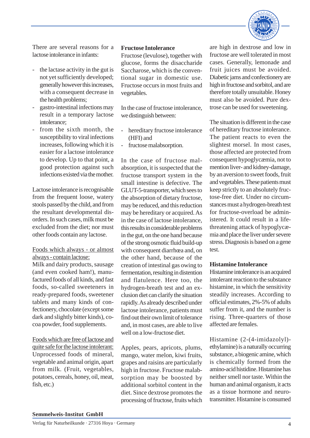

There are several reasons for a lactose intolerance in infants:

- the lactase activity in the gut is not yet sufficiently developed; generally however this increases, with a consequent decrease in the health problems;
- gastro-intestinal infections may result in a temporary lactose intolerance;
- from the sixth month, the susceptibility to viral infections increases, following which it is easier for a lactose intolerance to develop. Up to that point, a good protection against such infections existed via the mother.

Lactose intolerance is recognisable from the frequent loose, watery stools passed by the child, and from the resultant developmental disorders. In such cases, milk must be excluded from the diet; nor must other foods contain any lactose.

Foods which always - or almost always - contain lactose:

Milk and dairy products, sausage (and even cooked ham!), manufactured foods of all kinds, and fast foods, so-called sweeteners in ready-prepared foods, sweetener tablets and many kinds of confectionery, chocolate (except some dark and slightly bitter kinds), cocoa powder, food supplements.

Foods which are free of lactose and quite safe for the lactose intolerant: Unprocessed foods of mineral, vegetable and animal origin, apart from milk. (Fruit, vegetables, potatoes, cereals, honey, oil, meat, fish, etc.)

#### **Fructose Intolerance**

Fructose (levulose), together with glucose, forms the disaccharide Saccharose, which is the conventional sugar in domestic use. Fructose occurs in most fruits and vegetables.

In the case of fructose intolerance, we distinguish between:

- hereditary fructose intolerance (HFI) and
- fructose malabsorption.

In the case of fructose malabsorption, it is suspected that the fructose transport system in the small intestine is defective. The GLUT-5-transporter, which sees to the absorption of dietary fructose, may be reduced, and this reduction may be hereditary or acquired. As in the case of lactose intolerance, this results in considerable problems in the gut, on the one hand because of the strong osmotic fluid build-up with consequent diarrhœa and, on the other hand, because of the creation of intestinal gas owing to fermentation, resulting in distention and flatulence. Here too, the hydrogen-breath test and an exclusion diet can clarify the situation rapidly. As already described under lactose intolerance, patients must find out their own limit of tolerance and, in most cases, are able to live well on a low-fructose diet.

Apples, pears, apricots, plums, mango, water melon, kiwi fruits, grapes and raisins are particularly high in fructose. Fructose malabsorption may be boosted by additional sorbitol content in the diet. Since dextrose promotes the processing of fructose, fruits which are high in dextrose and low in fructose are well tolerated in most cases. Generally, lemonade and fruit juices must be avoided. Diabetic jams and confectionery are high in fructose and sorbitol, and are therefore totally unsuitable. Honey must also be avoided. Pure dextrose can be used for sweetening.

The situation is different in the case of hereditary fructose intolerance. The patient reacts to even the slightest morsel. In most cases, those affected are protected from consequent hypoglycæmia, not to mention liver- and kidney-damage, by an aversion to sweet foods, fruit and vegetables. These patients must keep strictly to an absolutely fructose-free diet. Under no circumstances must a hydrogen-breath test for fructose-overload be administered. It could result in a lifethreatening attack of hypoglycæmia and place the liver under severe stress. Diagnosis is based on a gene test.

#### **Histamine Intolerance**

Histamine intolerance is an acquired intolerant reaction to the substance histamine, in which the sensitivity steadily increases. According to official estimates, 2%-5% of adults suffer from it, and the number is rising. Three-quarters of those affected are females.

Histamine (2-(4-imidazolyl) ethylamine) is a naturally occurring substance, a biogenic amine, which is chemically formed from the amino-acid histidine. Histamine has neither smell nor taste. Within the human and animal organism, it acts as a tissue hormone and neurotransmitter. Histamine is consumed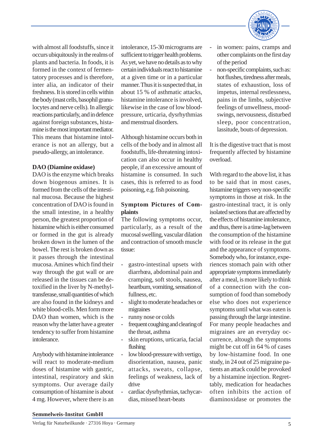

with almost all foodstuffs, since it occurs ubiquitously in the realms of plants and bacteria. In foods, it is formed in the context of fermentatory processes and is therefore, inter alia, an indicator of their freshness. It is stored in cells within the body (mast cells, basophil granulocytes and nerve cells). In allergic reactions particularly, and in defence against foreign substances, histamine is the most important mediator. This means that histamine intolerance is not an allergy, but a pseudo-allergy, an intolerance.

## **DAO (Diamine oxidase)**

DAO is the enzyme which breaks down biogenous amines. It is formed from the cells of the intestinal mucosa. Because the highest concentration of DAO is found in the small intestine, in a healthy person, the greatest proportion of histamine which is either consumed or formed in the gut is already broken down in the lumen of the bowel. The rest is broken down as it passes through the intestinal mucosa. Amines which find their way through the gut wall or are released in the tissues can be detoxified in the liver by N-methyltransferase, small quantities of which are also found in the kidneys and white blood-cells. Men form more DAO than women, which is the reason why the latter have a greater tendency to suffer from histamine intolerance.

Anybody with histamine intolerance will react to moderate-medium doses of histamine with gastric, intestinal, respiratory and skin symptoms. Our average daily consumption of histamine is about 4 mg. However, where there is an

intolerance, 15-30 micrograms are sufficient to trigger health problems. As yet, we have no details as to why certain individuals react to histamine at a given time or in a particular manner. Thus it is suspected that, in about 15 % of asthmatic attacks, histamine intolerance is involved, likewise in the case of low bloodpressure, urticaria, dysrhythmias and menstrual disorders.

Although histamine occurs both in cells of the body and in almost all foodstuffs, life-threatening intoxication can also occur in healthy people, if an excessive amount of histamine is consumed. In such cases, this is referred to as food poisoning, e.g. fish poisoning.

# **Symptom Pictures of Complaints**

The following symptoms occur, particularly, as a result of the mucosal swelling, vascular dilation and contraction of smooth muscle tissue:

- gastro-intestinal upsets with diarrhœa, abdominal pain and cramping, soft stools, nausea, heartburn, vomiting, sensation of fullness, etc.
- slight to moderate headaches or migraines
- runny nose or colds
- frequent coughing and clearing of the throat, asthma
- skin eruptions, urticaria, facial flushing
- low blood-pressure with vertigo, disorientation, nausea, panic attacks, sweats, collapse, feelings of weakness, lack of drive
- cardiac dysrhythmias, tachycardias, missed heart-beats
- in women: pains, cramps and other complaints on the first day of the period
- non-specific complaints, such as: hot flushes, tiredness after meals, states of exhaustion, loss of impetus, internal restlessness, pains in the limbs, subjective feelings of unwellness, moodswings, nervousness, disturbed sleep, poor concentration, lassitude, bouts of depression.

It is the digestive tract that is most frequently affected by histamine overload.

With regard to the above list, it has to be said that in most cases, histamine triggers very non-specific symptoms in those at risk. In the gastro-intestinal tract, it is only isolated sections that are affected by the effects of histamine intolerance, and thus, there is a time-lag between the consumption of the histamine with food or its release in the gut and the appearance of symptoms. Somebody who, for instance, experiences stomach pain with other appropriate symptoms immediately after a meal, is more likely to think of a connection with the consumption of food than somebody else who does not experience symptoms until what was eaten is passing through the large intestine. For many people headaches and migraines are an everyday occurrence, altough the symptoms might be cut off in 64 % of cases by low-histamine food. In one study, in 24 out of 25 migraine patients an attack could be provoked by a histamine injection. Regrettably, medication for headaches often inhibits the action of diaminoxidase or promotes the

#### **Semmelweis-Institut GmbH**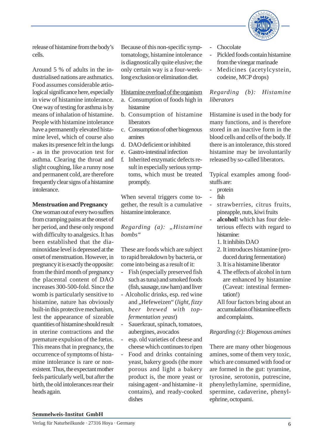

release of histamine from the body's cells.

Around 5 % of adults in the industrialised nations are asthmatics. Food assumes considerable ætiological significance here, especially in view of histamine intolerance. One way of testing for asthma is by means of inhalation of histamine. People with histamine intolerance have a permanently elevated histamine level, which of course also makes its presence felt in the lungs - as in the provocation test for asthma. Clearing the throat and slight coughing, like a runny nose and permanent cold, are therefore frequently clear signs of a histamine intolerance.

#### **Menstruation and Pregnancy**

One woman out of every two suffers from cramping pains at the onset of her period, and these only respond with difficulty to analgesics. It has been established that the diaminoxidase level is depressed at the onset of menstruation. However, in pregnancy it is exactly the opposite: from the third month of pregnancy the placental content of DAO increases 300-500-fold. Since the womb is particularly sensitive to histamine, nature has obviously built-in this protective mechanism, lest the appearance of sizeable quantities of histamine should result in uterine contractions and the premature expulsion of the fœtus. This means that in pregnancy, the occurrence of symptoms of histamine intolerance is rare or nonexistent. Thus, the expectant mother feels particularly well, but after the birth, the old intolerances rear their heads again.

Because of this non-specific symptomatology, histamine intolerance is diagnostically quite elusive; the only certain way is a four-weeklong exclusion or elimination diet.

Histamine overload of the organism

- a. Consumption of foods high in histamine
- b. Consumption of histamine liberators
- c. Consumption of other biogenous amines
- d. DAO deficient or inhibited
- e. Gastro-intestinal infection
- f. Inherited enzymatic defects result in especially serious symptoms, which must be treated promptly.

When several triggers come together, the result is a cumulative histamine intolerance.

*Regarding (a):* "*Histamine bombs"*

These are foods which are subject to rapid breakdown by bacteria, or come into being as a result of it:

- Fish (especially preserved fish such as tuna) and smoked foods (fish, sausage, raw ham) and liver
- Alcoholic drinks, esp. red wine and "Hefeweizen" (*light, fizzy beer brewed with topfermentation yeast*)
- Sauerkraut, spinach, tomatoes, aubergines, avocados
- esp. old varieties of cheese and cheese which continues to ripen
- Food and drinks containing yeast, bakery goods (the more porous and light a bakery product is, the more yeast or raising agent - and histamine - it contains), and ready-cooked dishes
- **Chocolate**
- Pickled foods contain histamine from the vinegar marinade
- Medicines (acetylcystein, codeine, MCP drops)

*Regarding (b): Histamine liberators*

Histamine is used in the body for many functions, and is therefore stored in an inactive form in the blood cells and cells of the body. If there is an intolerance, this stored histamine may be involuntarily released by so-called liberators.

Typical examples among foodstuffs are:

- protein
- fish
- strawberries, citrus fruits, pineapple, nuts, kiwi fruits
- **- alcohol!** which has four deleterious effects with regard to histamine:
	- 1. It inhibits DAO
	- 2. It introduces histamine (produced during fermentation)
	- 3. It is a histamine liberator
	- 4. The effects of alcohol in turn are enhanced by histamine (Caveat: intestinal fermentation!)

All four factors bring about an accumulation of histamine effects and complaints.

*Regarding (c): Biogenous amines*

There are many other biogenous amines, some of them very toxic, which are consumed with food or are formed in the gut: tyramine, tyrosine, serotonin, putrescine, phenylethylamine, spermidine, spermine, cadaverine, phenylephrine, octopami.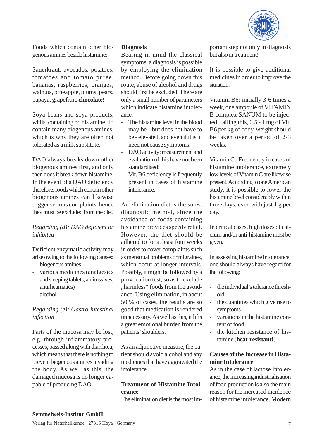

Foods which contain other biogenous amines beside histamine:

Sauerkraut, avocados, potatoes, tomatoes and tomato purée, bananas, raspberries, oranges, walnuts, pineapple, plums, pears, papaya, grapefruit, **chocolate!**

Soya beans and soya products, whilst containing no histamine, do contain many biogenous amines, which is why they are often not tolerated as a milk substitute.

DAO always breaks down other biogenous amines first, and only then does it break down histamine. In the event of a DAO deficiency therefore, foods which contain other biogenous amines can likewise trigger serious complaints, hence they must be excluded from the diet.

# *Regarding (d): DAO deficient or inhibited*

Deficient enzymatic activity may arise owing to the following causes:

- biogenous amines
- various medicines (analgesics and sleeping tablets, antitussives, antirheumatics)
- alcohol

# *Regarding (e): Gastro-intestinal infection*

Parts of the mucosa may be lost, e.g. through inflammatory processes, passed along with diarrhœa, which means that there is nothing to prevent biogenous amines invading the body. As well as this, the damaged mucosa is no longer capable of producing DAO.

### **Diagnosis**

Bearing in mind the classical symptoms, a diagnosis is possible by employing the elimination method. Before going down this route, abuse of alcohol and drugs should first be excluded. There are only a small number of parameters which indicate histamine intolerance:

- The histamine level in the blood may be - but does not have to be - elevated, and even if it is, it need not cause symptoms.
- DAO activity: measurement and evaluation of this have not been standardised;
- Vit. B6 deficiency is frequently present in cases of histamine intolerance.

An elimination diet is the surest diagnostic method, since the avoidance of foods containing histamine provides speedy relief. However, the diet should be adhered to for at least four weeks in order to cover complaints such as menstrual problems or migraines, which occur at longer intervals. Possibly, it might be followed by a provocation test, so as to exclude "harmless" foods from the avoidance. Using elimination, in about 50 % of cases, the results are so good that medication is rendered unnecessary. As well as this, it lifts a great emotional burden from the patients' shoulders.

As an adjunctive measure, the patient should avoid alcohol and any medicines that have aggravated the intolerance.

# **Treatment of Histamine Intolerance**

The elimination diet is the most im-

portant step not only in diagnosis but also in treatment!

It is possible to give additional medicines in order to improve the situation:

Vitamin B6: initially 3-6 times a week, one ampoule of VITAMIN B complex SANUM to be injected; failing this, 0.5 - 1 mg of Vit. B6 per kg of body-weight should be taken over a period of 2-3 weeks.

Vitamin C: Frequently in cases of histamine intolerance, extremely low levels of Vitamin C are likewise present. According to one American study, it is possible to lower the histamine level considerably within three days, even with just 1 g per day.

In critical cases, high doses of calcium and/or anti-histamine must be given.

In assessing histamine intolerance, one should always have regard for the following:

- the individual's tolerance threshold
- the quantities which give rise to symptoms
- variations in the histamine content of food
- the kitchen resistance of histamine (**heat-resistant!**)

# **Causes of the Increase in Histamine Intolerance**

As in the case of lactose intolerance, the increasing industrialisation of food production is also the main reason for the increased incidence of histamine intolerance. Modern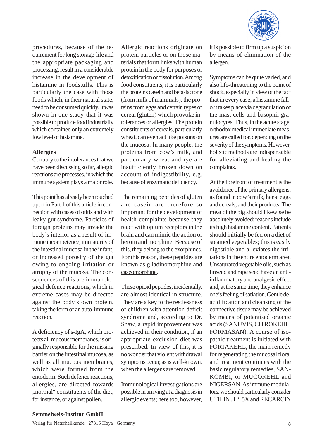

procedures, because of the requirement for long storage-life and the appropriate packaging and processing, result in a considerable increase in the development of histamine in foodstuffs. This is particularly the case with those foods which, in their natural state, need to be consumed quickly. It was shown in one study that it was possible to produce food industrially which contained only an extremely low level of histamine.

## **Allergies**

Contrary to the intolerances that we have been discussing so far, allergic reactions are processes, in which the immune system plays a major role.

This point has already been touched upon in Part 1 of this article in connection with cases of otitis and with leaky gut syndrome. Particles of foreign proteins may invade the body's interior as a result of immune incompetence, immaturity of the intestinal mucosa in the infant, or increased porosity of the gut owing to ongoing irritation or atrophy of the mucosa. The consequences of this are immunological defence reactions, which in extreme cases may be directed against the body's own protein, taking the form of an auto-immune reaction.

A deficiency of s-IgA, which protects all mucous membranes, is originally responsible for the missing barrier on the intestinal mucosa, as well as all mucous membranes, which were formed from the entoderm. Such defence reactions, allergies, are directed towards "normal" constituents of the diet, for instance, or against pollen.

Allergic reactions originate on protein particles or on those materials that form links with human protein in the body for purposes of detoxification or dissolution. Among food constituents, it is particularly the proteins casein and beta-lactone (from milk of mammals), the proteins from eggs and certain types of cereal (gluten) which provoke intolerances or allergies. The protein constituents of cereals, particularly wheat, can even act like poisons on the mucosa. In many people, the proteins from cow's milk, and particularly wheat and rye are insufficiently broken down on account of indigestibility, e.g. because of enzymatic deficiency.

The remaining peptides of gluten and casein are therefore so important for the development of health complaints because they react with opium receptors in the brain and can mimic the action of heroin and morphine. Because of this, they belong to the exorphines. For this reason, these peptides are known as gliadinomorphine and caseomorphine.

These opioid peptides, incidentally, are almost identical in structure. They are a key to the restlessness of children with attention deficit syndrome and, according to Dr. Shaw, a rapid improvement was achieved in their condition, if an appropriate exclusion diet was prescribed. In view of this, it is no wonder that violent withdrawal symptoms occur, as is well-known, when the allergens are removed.

Immunological investigations are possible in arriving at a diagnosis in allergic events; here too, however, it is possible to firm up a suspicion by means of elimination of the allergen.

Symptoms can be quite varied, and also life-threatening to the point of shock, especially in view of the fact that in every case, a histamine fallout takes place via degranulation of the mast cells and basophil granulocytes. Thus, in the acute stage, orthodox medical immediate measures are called for, depending on the severity of the symptoms. However, holistic methods are indispensable for alleviating and healing the complaints.

At the forefront of treatment is the avoidance of the primary allergens, as found in cow's milk, hens' eggs and cereals, and their products. The meat of the pig should likewise be absolutely avoided; reasons include its high histamine content. Patients should initially be fed on a diet of steamed vegetables; this is easily digestible and alleviates the irritations in the entire entoderm area. Unsaturated vegetable oils, such as linseed and rape seed have an antiinflammatory and analgesic effect and, at the same time, they enhance one's feeling of satiation. Gentle deacidification and cleansing of the connective tissue may be achieved by means of potentised organic acids (SANUVIS, CITROKEHL, FORMASAN). A course of isopathic treatment is initiated with FORTAKEHL, the main remedy for regenerating the mucosal flora, and treatment continues with the basic regulatory remedies, SAN-KOMBI, or MUCOKEHL and NIGERSAN. As immune modulators, we should particularly consider UTILIN, H"5X and RECARCIN